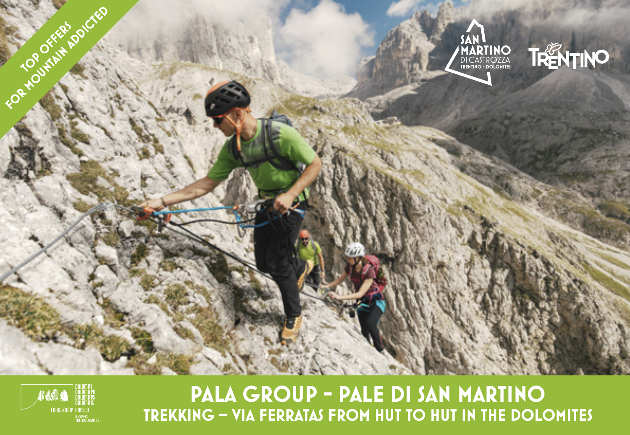



**PALA GROUP - PALE DI SAN MARTINO TREKKING – VIA FERRATAS FROM HUT TO HUT IN THE DOLOMITES**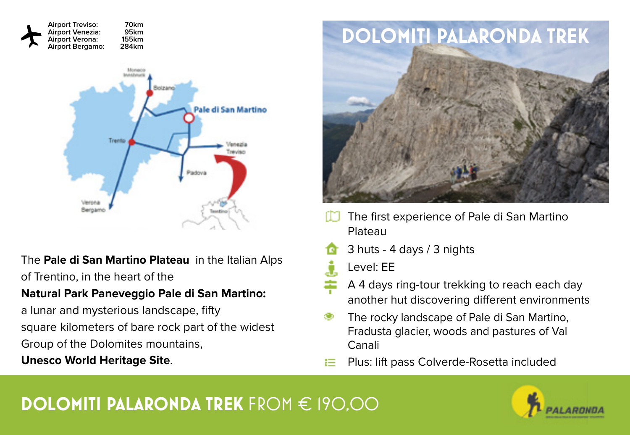

The **Pale di San Martino Plateau** in the Italian Alps of Trentino, in the heart of the

### **Natural Park Paneveggio Pale di San Martino:**

a lunar and mysterious landscape, fifty square kilometers of bare rock part of the widest Group of the Dolomites mountains,

### **Unesco World Heritage Site**.



- The first experience of Pale di San Martino Plateau
- 3 huts 4 days / 3 nights
- Ĵ. Level: EE
- A 4 days ring-tour trekking to reach each day another hut discovering different environments
- The rocky landscape of Pale di San Martino, Fradusta glacier, woods and pastures of Val Canali
- Plus: lift pass Colverde-Rosetta included

# **DOLOMITI PALARONDA TREK** FROM € 190,00

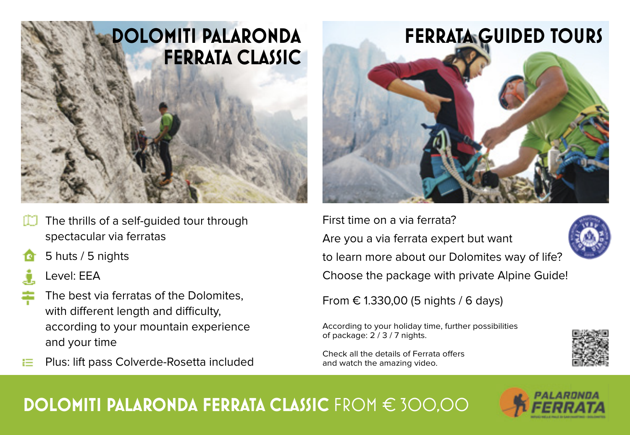

- The thrills of a self-guided tour through spectacular via ferratas
- 5 huts / 5 nights
	- Level: EEA
- The best via ferratas of the Dolomites, with different length and difficulty, according to your mountain experience and your time
- Plus: lift pass Colverde-Rosetta included



First time on a via ferrata? Are you a via ferrata expert but want to learn more about our Dolomites way of life? Choose the package with private Alpine Guide!

From € 1.330,00 (5 nights / 6 days)

According to your holiday time, further possibilities of package: 2 / 3 / 7 nights.

Check all the details of Ferrata offers and watch the amazing video.



## **DOLOMITI PALARONDA FERRATA CLASSIC** FROM € 300,00